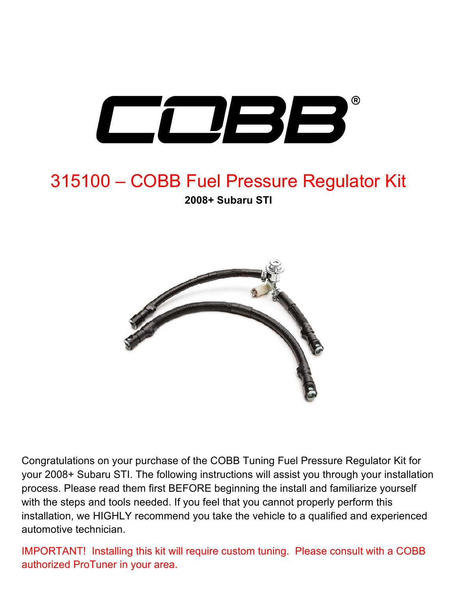

# 315100 – COBB Fuel Pressure Regulator Kit **2008+ Subaru STI**



Congratulations on your purchase of the COBB Tuning Fuel Pressure Regulator Kit for your 2008+ Subaru STI. The following instructions will assist you through your installation process. Please read them first BEFORE beginning the install and familiarize yourself with the steps and tools needed. If you feel that you cannot properly perform this installation, we HIGHLY recommend you take the vehicle to a qualified and experienced automotive technician.

IMPORTANT! Installing this kit will require custom tuning. Please consult with a COBB authorized ProTuner in your area.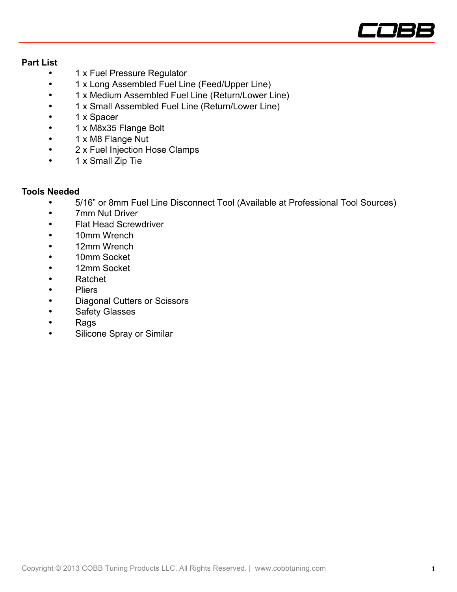

### **Part List**

- 1 x Fuel Pressure Regulator
- 1 x Long Assembled Fuel Line (Feed/Upper Line)
- 1 x Medium Assembled Fuel Line (Return/Lower Line)
- 1 x Small Assembled Fuel Line (Return/Lower Line)
- 1 x Spacer
- 1 x M8x35 Flange Bolt
- 1 x M8 Flange Nut
- 2 x Fuel Injection Hose Clamps
- 1 x Small Zip Tie

#### **Tools Needed**

- 5/16" or 8mm Fuel Line Disconnect Tool (Available at Professional Tool Sources)
- 7mm Nut Driver
- Flat Head Screwdriver
- 10mm Wrench
- 12mm Wrench
- 10mm Socket
- 12mm Socket
- Ratchet
- Pliers
- Diagonal Cutters or Scissors
- Safety Glasses
- Rags
- Silicone Spray or Similar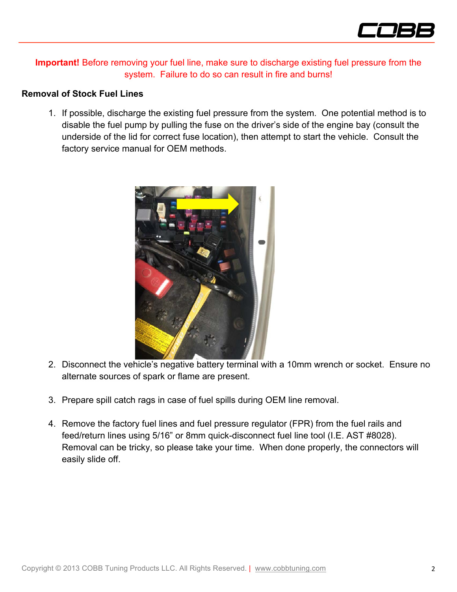

**Important!** Before removing your fuel line, make sure to discharge existing fuel pressure from the system. Failure to do so can result in fire and burns!

#### **Removal of Stock Fuel Lines**

1. If possible, discharge the existing fuel pressure from the system. One potential method is to disable the fuel pump by pulling the fuse on the driver's side of the engine bay (consult the underside of the lid for correct fuse location), then attempt to start the vehicle. Consult the factory service manual for OEM methods.



- 2. Disconnect the vehicle's negative battery terminal with a 10mm wrench or socket. Ensure no alternate sources of spark or flame are present.
- 3. Prepare spill catch rags in case of fuel spills during OEM line removal.
- 4. Remove the factory fuel lines and fuel pressure regulator (FPR) from the fuel rails and feed/return lines using 5/16" or 8mm quick-disconnect fuel line tool (I.E. AST #8028). Removal can be tricky, so please take your time. When done properly, the connectors will easily slide off.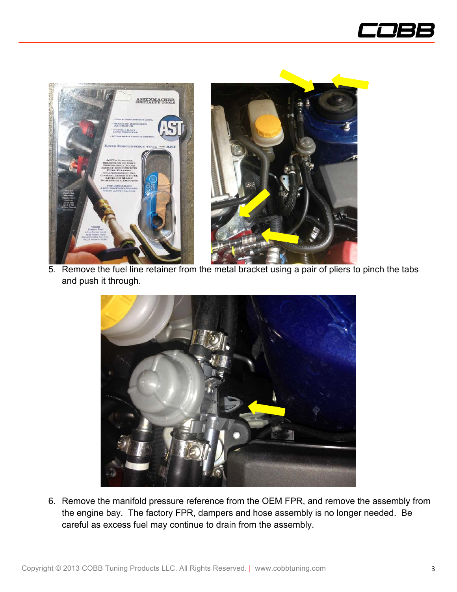





5. Remove the fuel line retainer from the metal bracket using a pair of pliers to pinch the tabs and push it through.



6. Remove the manifold pressure reference from the OEM FPR, and remove the assembly from the engine bay. The factory FPR, dampers and hose assembly is no longer needed. Be careful as excess fuel may continue to drain from the assembly.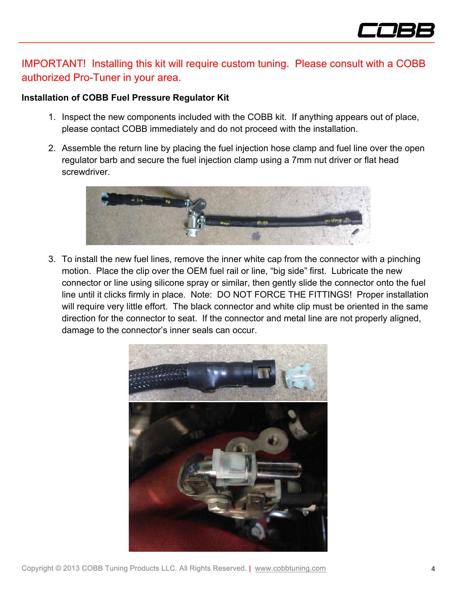

# IMPORTANT! Installing this kit will require custom tuning. Please consult with a COBB authorized Pro-Tuner in your area.

## **Installation of COBB Fuel Pressure Regulator Kit**

- 1. Inspect the new components included with the COBB kit. If anything appears out of place, please contact COBB immediately and do not proceed with the installation.
- 2. Assemble the return line by placing the fuel injection hose clamp and fuel line over the open regulator barb and secure the fuel injection clamp using a 7mm nut driver or flat head screwdriver.



3. To install the new fuel lines, remove the inner white cap from the connector with a pinching motion. Place the clip over the OEM fuel rail or line, "big side" first. Lubricate the new connector or line using silicone spray or similar, then gently slide the connector onto the fuel line until it clicks firmly in place. Note: DO NOT FORCE THE FITTINGS! Proper installation will require very little effort. The black connector and white clip must be oriented in the same direction for the connector to seat. If the connector and metal line are not properly aligned, damage to the connector's inner seals can occur.

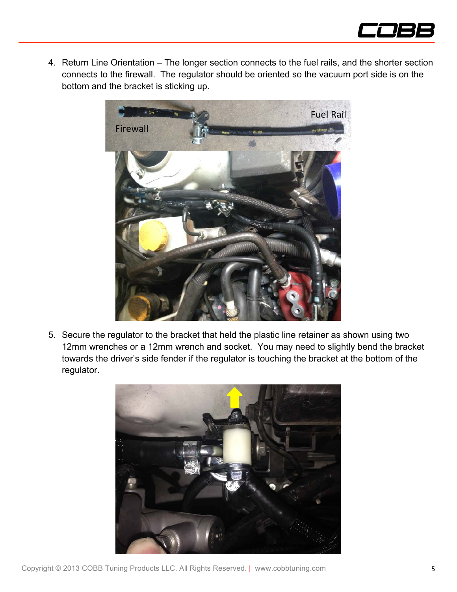

4. Return Line Orientation – The longer section connects to the fuel rails, and the shorter section connects to the firewall. The regulator should be oriented so the vacuum port side is on the bottom and the bracket is sticking up.



5. Secure the regulator to the bracket that held the plastic line retainer as shown using two 12mm wrenches or a 12mm wrench and socket. You may need to slightly bend the bracket towards the driver's side fender if the regulator is touching the bracket at the bottom of the regulator.

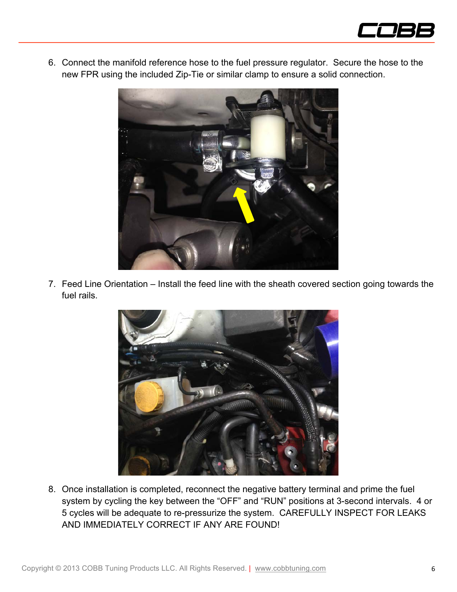

6. Connect the manifold reference hose to the fuel pressure regulator. Secure the hose to the new FPR using the included Zip-Tie or similar clamp to ensure a solid connection.



7. Feed Line Orientation – Install the feed line with the sheath covered section going towards the fuel rails.



8. Once installation is completed, reconnect the negative battery terminal and prime the fuel system by cycling the key between the "OFF" and "RUN" positions at 3-second intervals. 4 or 5 cycles will be adequate to re-pressurize the system. CAREFULLY INSPECT FOR LEAKS AND IMMEDIATELY CORRECT IF ANY ARE FOUND!